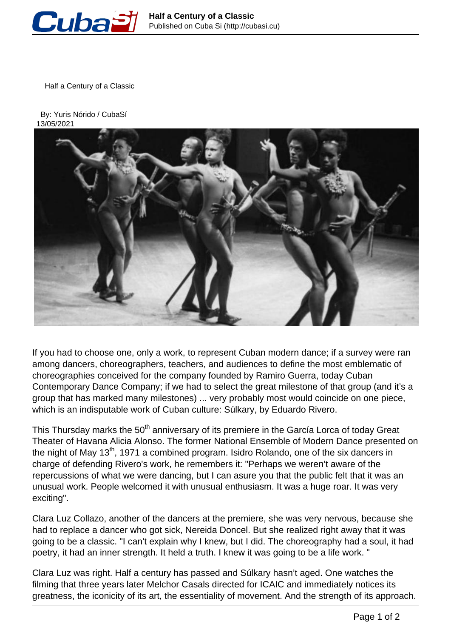

Half a Century of a Classic

 By: Yuris Nórido / CubaSí 13/05/2021



If you had to choose one, only a work, to represent Cuban modern dance; if a survey were ran among dancers, choreographers, teachers, and audiences to define the most emblematic of choreographies conceived for the company founded by Ramiro Guerra, today Cuban Contemporary Dance Company; if we had to select the great milestone of that group (and it's a group that has marked many milestones) ... very probably most would coincide on one piece, which is an indisputable work of Cuban culture: Súlkary, by Eduardo Rivero.

This Thursday marks the 50<sup>th</sup> anniversary of its premiere in the García Lorca of today Great Theater of Havana Alicia Alonso. The former National Ensemble of Modern Dance presented on the night of May 13<sup>th</sup>, 1971 a combined program. Isidro Rolando, one of the six dancers in charge of defending Rivero's work, he remembers it: "Perhaps we weren't aware of the repercussions of what we were dancing, but I can asure you that the public felt that it was an unusual work. People welcomed it with unusual enthusiasm. It was a huge roar. It was very exciting".

Clara Luz Collazo, another of the dancers at the premiere, she was very nervous, because she had to replace a dancer who got sick, Nereida Doncel. But she realized right away that it was going to be a classic. "I can't explain why I knew, but I did. The choreography had a soul, it had poetry, it had an inner strength. It held a truth. I knew it was going to be a life work. "

Clara Luz was right. Half a century has passed and Súlkary hasn't aged. One watches the filming that three years later Melchor Casals directed for ICAIC and immediately notices its greatness, the iconicity of its art, the essentiality of movement. And the strength of its approach.